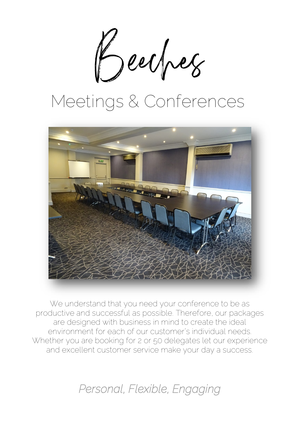Beecher

# Meetings & Conferences



We understand that you need your conference to be as productive and successful as possible. Therefore, our packages are designed with business in mind to create the ideal environment for each of our customer's individual needs. Whether you are booking for 2 or 50 delegates let our experience and excellent customer service make your day a success.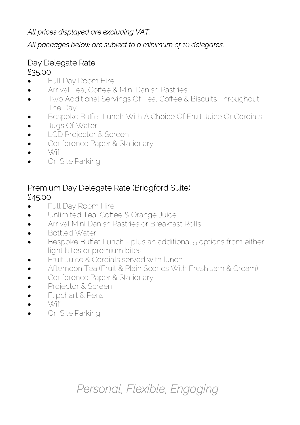#### *All prices displayed are excluding VAT.*

#### *All packages below are subject to a minimum of 10 delegates.*

#### Day Delegate Rate £35.00

- Full Day Room Hire
- Arrival Tea, Coffee & Mini Danish Pastries
- Two Additional Servings Of Tea, Coffee & Biscuits Throughout The Day
- Bespoke Buffet Lunch With A Choice Of Fruit Juice Or Cordials
- Jugs Of Water
- LCD Projector & Screen
- Conference Paper & Stationary
- $\bullet$  \X/ifi
- On Site Parking

#### Premium Day Delegate Rate (Bridgford Suite) £45.00

- Full Day Room Hire
- Unlimited Tea, Coffee & Orange Juice
- Arrival Mini Danish Pastries or Breakfast Rolls
- Bottled Water
- Bespoke Buffet Lunch plus an additional 5 options from either light bites or premium bites.
- Fruit Juice & Cordials served with lunch
- Afternoon Tea (Fruit & Plain Scones With Fresh Jam & Cream)
- Conference Paper & Stationary
- Projector & Screen
- Flipchart & Pens
- $\bullet$   $\sqrt{X/f}$
- On Site Parking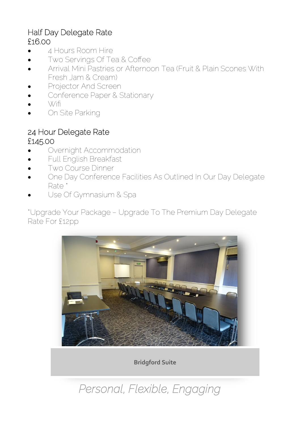#### Half Day Delegate Rate £16.00

- 4 Hours Room Hire
- Two Servings Of Tea & Coffee
- Arrival Mini Pastries or Afternoon Tea (Fruit & Plain Scones With Fresh Jam & Cream)
- Projector And Screen
- Conference Paper & Stationary
- Wifi
- On Site Parking

#### 24 Hour Delegate Rate £145.00

- Overnight Accommodation
- Full English Breakfast
- Two Course Dinner
- One Day Conference Facilities As Outlined In Our Day Delegate Rate \*
- Use Of Gymnasium & Spa

\*Upgrade Your Package – Upgrade To The Premium Day Delegate Rate For £12pp



**Bridgford Suite**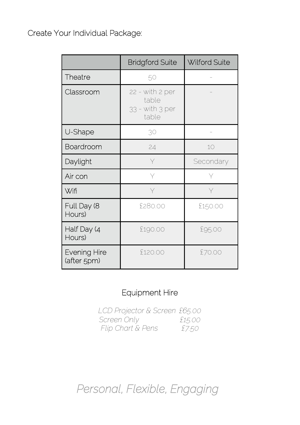Create Your Individual Package:

|                                    | <b>Bridgford Suite</b>                               | Wilford Suite |
|------------------------------------|------------------------------------------------------|---------------|
| Theatre                            | 50                                                   |               |
| Classroom                          | 22 - with 2 per<br>table<br>33 - with 3 per<br>table |               |
| U-Shape                            | 30                                                   |               |
| Boardroom                          | 24                                                   | 10            |
| Daylight                           | Y                                                    | Secondary     |
| Air con                            | Υ                                                    |               |
| Wifi                               | Υ                                                    |               |
| Full Day (8<br>Hours)              | \$280.00                                             | £150.00       |
| Half Day (4<br>Hours)              | £190.00                                              | £95.00        |
| <b>Evening Hire</b><br>(after 5pm) | \$120.00                                             | £70.00        |

#### Equipment Hire

*LCD Projector & Screen £65.00 Screen Only £15.00 Flip Chart & Pens £7.50*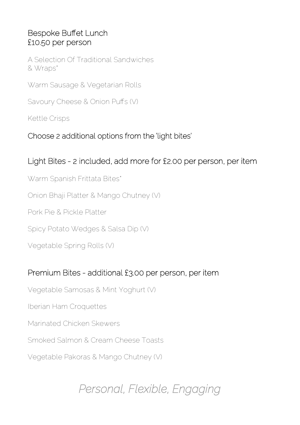#### Bespoke Buffet Lunch £10.50 per person

A Selection Of Traditional Sandwiches & Wraps\*

Warm Sausage & Vegetarian Rolls

Savoury Cheese & Onion Puffs (V)

Kettle Crisps

#### Choose 2 additional options from the 'light bites'

#### Light Bites - 2 included, add more for £2.00 per person, per item

Warm Spanish Frittata Bites\*

Onion Bhaji Platter & Mango Chutney (V)

Pork Pie & Pickle Platter

Spicy Potato Wedges & Salsa Dip (V)

Vegetable Spring Rolls (V)

#### Premium Bites - additional £3.00 per person, per item

Vegetable Samosas & Mint Yoghurt (V)

Iberian Ham Croquettes

Marinated Chicken Skewers

Smoked Salmon & Cream Cheese Toasts

Vegetable Pakoras & Mango Chutney (V)